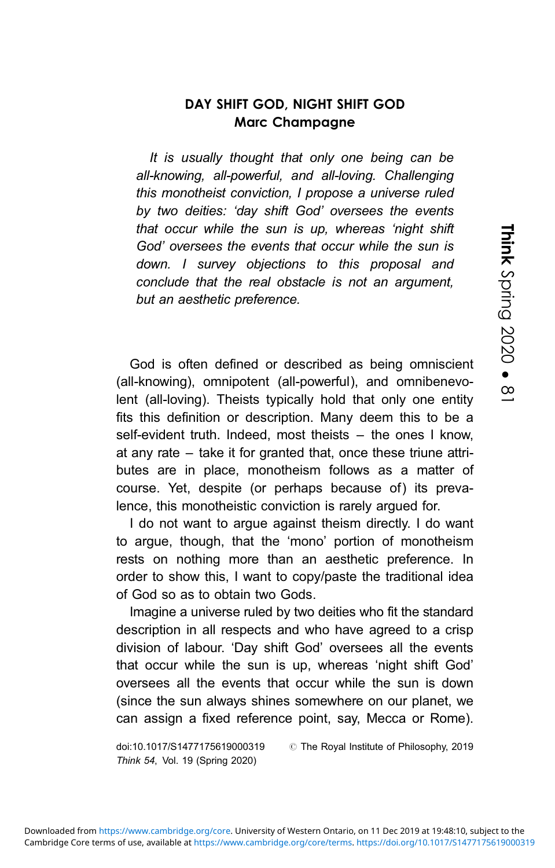## DAY SHIFT GOD, NIGHT SHIFT GOD Marc Champagne

It is usually thought that only one being can be all-knowing, all-powerful, and all-loving. Challenging this monotheist conviction, I propose a universe ruled by two deities: 'day shift God' oversees the events that occur while the sun is up, whereas 'night shift God' oversees the events that occur while the sun is down. I survey objections to this proposal and conclude that the real obstacle is not an argument, but an aesthetic preference.

God is often defined or described as being omniscient (all-knowing), omnipotent (all-powerful), and omnibenevolent (all-loving). Theists typically hold that only one entity fits this definition or description. Many deem this to be a self-evident truth. Indeed, most theists – the ones I know, at any rate – take it for granted that, once these triune attributes are in place, monotheism follows as a matter of course. Yet, despite (or perhaps because of) its prevalence, this monotheistic conviction is rarely argued for.

I do not want to argue against theism directly. I do want to argue, though, that the 'mono' portion of monotheism rests on nothing more than an aesthetic preference. In order to show this, I want to copy/paste the traditional idea of God so as to obtain two Gods.

Imagine a universe ruled by two deities who fit the standard description in all respects and who have agreed to a crisp division of labour. 'Day shift God' oversees all the events that occur while the sun is up, whereas 'night shift God' oversees all the events that occur while the sun is down (since the sun always shines somewhere on our planet, we can assign a fixed reference point, say, Mecca or Rome).

doi:10.1017/S1477175619000319 # The Royal Institute of Philosophy, 2019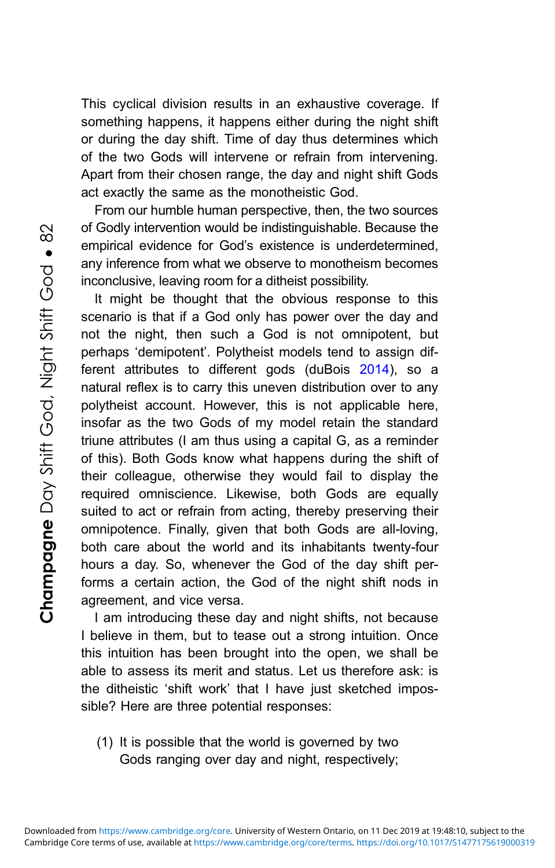This cyclical division results in an exhaustive coverage. If something happens, it happens either during the night shift or during the day shift. Time of day thus determines which of the two Gods will intervene or refrain from intervening. Apart from their chosen range, the day and night shift Gods act exactly the same as the monotheistic God.

From our humble human perspective, then, the two sources of Godly intervention would be indistinguishable. Because the empirical evidence for God's existence is underdetermined, any inference from what we observe to monotheism becomes inconclusive, leaving room for a ditheist possibility.

It might be thought that the obvious response to this scenario is that if a God only has power over the day and not the night, then such a God is not omnipotent, but perhaps 'demipotent'. Polytheist models tend to assign different attributes to different gods (duBois [2014\)](#page-7-0), so a natural reflex is to carry this uneven distribution over to any polytheist account. However, this is not applicable here, insofar as the two Gods of my model retain the standard triune attributes (I am thus using a capital G, as a reminder of this). Both Gods know what happens during the shift of their colleague, otherwise they would fail to display the required omniscience. Likewise, both Gods are equally suited to act or refrain from acting, thereby preserving their omnipotence. Finally, given that both Gods are all-loving, both care about the world and its inhabitants twenty-four hours a day. So, whenever the God of the day shift performs a certain action, the God of the night shift nods in agreement, and vice versa.

I am introducing these day and night shifts, not because I believe in them, but to tease out a strong intuition. Once this intuition has been brought into the open, we shall be able to assess its merit and status. Let us therefore ask: is the ditheistic 'shift work' that I have just sketched impossible? Here are three potential responses:

(1) It is possible that the world is governed by two Gods ranging over day and night, respectively;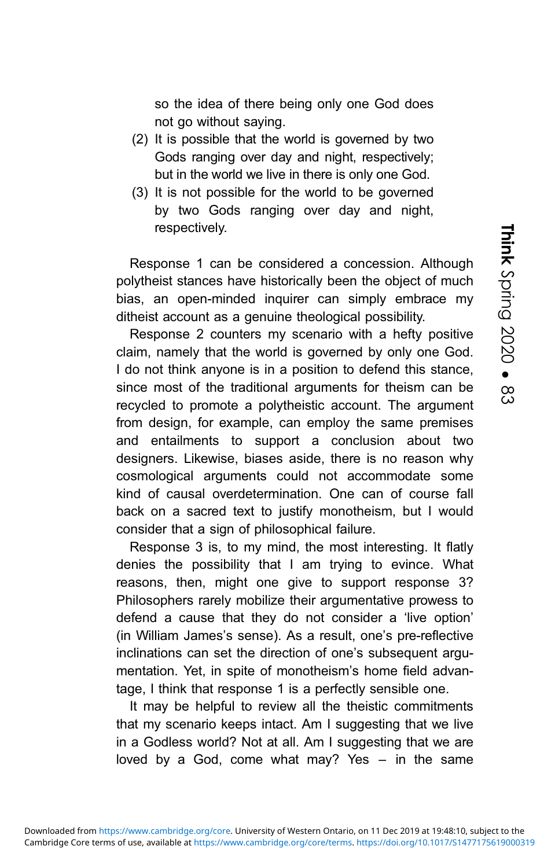so the idea of there being only one God does not go without saying.

- (2) It is possible that the world is governed by two Gods ranging over day and night, respectively; but in the world we live in there is only one God.
- (3) It is not possible for the world to be governed by two Gods ranging over day and night, respectively.

Response 1 can be considered a concession. Although polytheist stances have historically been the object of much bias, an open-minded inquirer can simply embrace my ditheist account as a genuine theological possibility.

Response 2 counters my scenario with a hefty positive claim, namely that the world is governed by only one God. I do not think anyone is in a position to defend this stance, since most of the traditional arguments for theism can be recycled to promote a polytheistic account. The argument from design, for example, can employ the same premises and entailments to support a conclusion about two designers. Likewise, biases aside, there is no reason why cosmological arguments could not accommodate some kind of causal overdetermination. One can of course fall back on a sacred text to justify monotheism, but I would consider that a sign of philosophical failure.

Response 3 is, to my mind, the most interesting. It flatly denies the possibility that I am trying to evince. What reasons, then, might one give to support response 3? Philosophers rarely mobilize their argumentative prowess to defend a cause that they do not consider a 'live option' (in William James's sense). As a result, one's pre-reflective inclinations can set the direction of one's subsequent argumentation. Yet, in spite of monotheism's home field advantage, I think that response 1 is a perfectly sensible one.

It may be helpful to review all the theistic commitments that my scenario keeps intact. Am I suggesting that we live in a Godless world? Not at all. Am I suggesting that we are loved by a God, come what may? Yes – in the same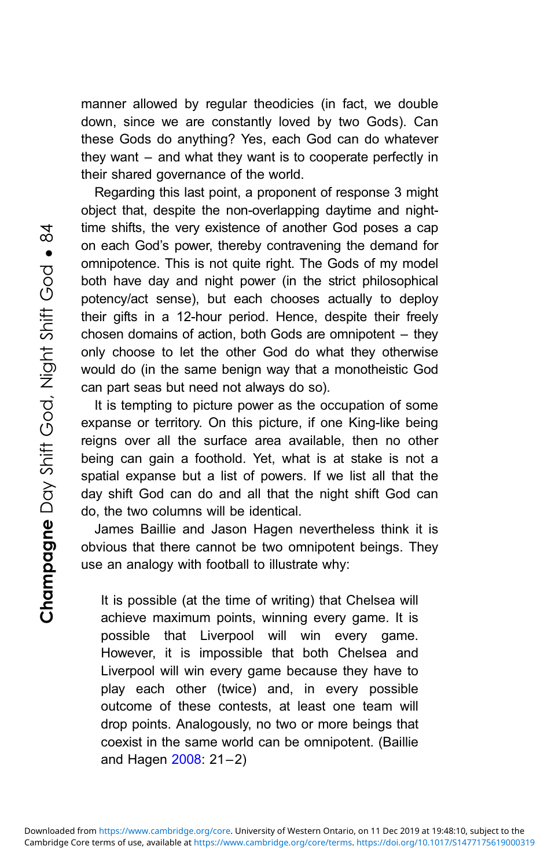manner allowed by regular theodicies (in fact, we double down, since we are constantly loved by two Gods). Can these Gods do anything? Yes, each God can do whatever they want – and what they want is to cooperate perfectly in their shared governance of the world.

Regarding this last point, a proponent of response 3 might object that, despite the non-overlapping daytime and nighttime shifts, the very existence of another God poses a cap on each God's power, thereby contravening the demand for omnipotence. This is not quite right. The Gods of my model both have day and night power (in the strict philosophical potency/act sense), but each chooses actually to deploy their gifts in a 12-hour period. Hence, despite their freely chosen domains of action, both Gods are omnipotent – they only choose to let the other God do what they otherwise would do (in the same benign way that a monotheistic God can part seas but need not always do so).

It is tempting to picture power as the occupation of some expanse or territory. On this picture, if one King-like being reigns over all the surface area available, then no other being can gain a foothold. Yet, what is at stake is not a spatial expanse but a list of powers. If we list all that the day shift God can do and all that the night shift God can do, the two columns will be identical.

James Baillie and Jason Hagen nevertheless think it is obvious that there cannot be two omnipotent beings. They use an analogy with football to illustrate why:

It is possible (at the time of writing) that Chelsea will achieve maximum points, winning every game. It is possible that Liverpool will win every game. However, it is impossible that both Chelsea and Liverpool will win every game because they have to play each other (twice) and, in every possible outcome of these contests, at least one team will drop points. Analogously, no two or more beings that coexist in the same world can be omnipotent. (Baillie and Hagen [2008:](#page-7-0) 21–2)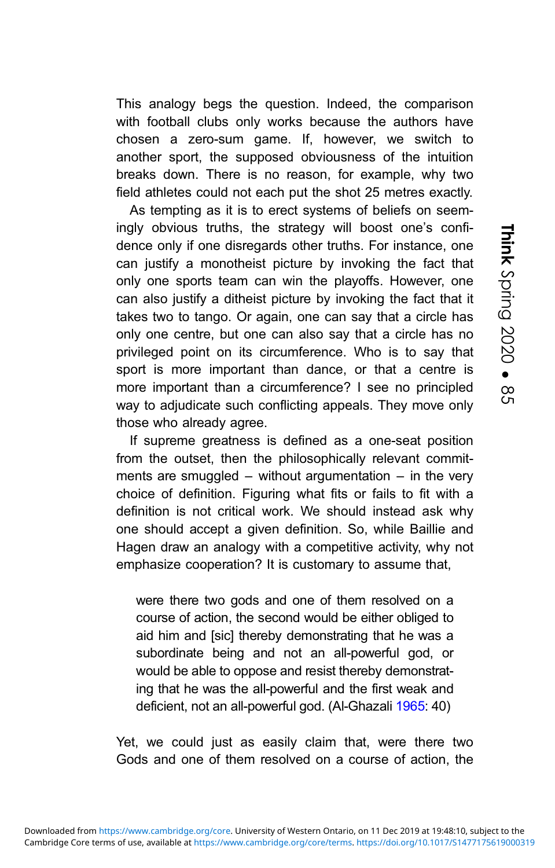This analogy begs the question. Indeed, the comparison with football clubs only works because the authors have chosen a zero-sum game. If, however, we switch to another sport, the supposed obviousness of the intuition breaks down. There is no reason, for example, why two field athletes could not each put the shot 25 metres exactly.

As tempting as it is to erect systems of beliefs on seemingly obvious truths, the strategy will boost one's confidence only if one disregards other truths. For instance, one can justify a monotheist picture by invoking the fact that only one sports team can win the playoffs. However, one can also justify a ditheist picture by invoking the fact that it takes two to tango. Or again, one can say that a circle has only one centre, but one can also say that a circle has no privileged point on its circumference. Who is to say that sport is more important than dance, or that a centre is more important than a circumference? I see no principled way to adjudicate such conflicting appeals. They move only those who already agree.

If supreme greatness is defined as a one-seat position from the outset, then the philosophically relevant commitments are smuggled – without argumentation – in the very choice of definition. Figuring what fits or fails to fit with a definition is not critical work. We should instead ask why one should accept a given definition. So, while Baillie and Hagen draw an analogy with a competitive activity, why not emphasize cooperation? It is customary to assume that,

were there two gods and one of them resolved on a course of action, the second would be either obliged to aid him and [sic] thereby demonstrating that he was a subordinate being and not an all-powerful god, or would be able to oppose and resist thereby demonstrating that he was the all-powerful and the first weak and deficient, not an all-powerful god. (Al-Ghazali [1965](#page-7-0): 40)

Yet, we could just as easily claim that, were there two Gods and one of them resolved on a course of action, the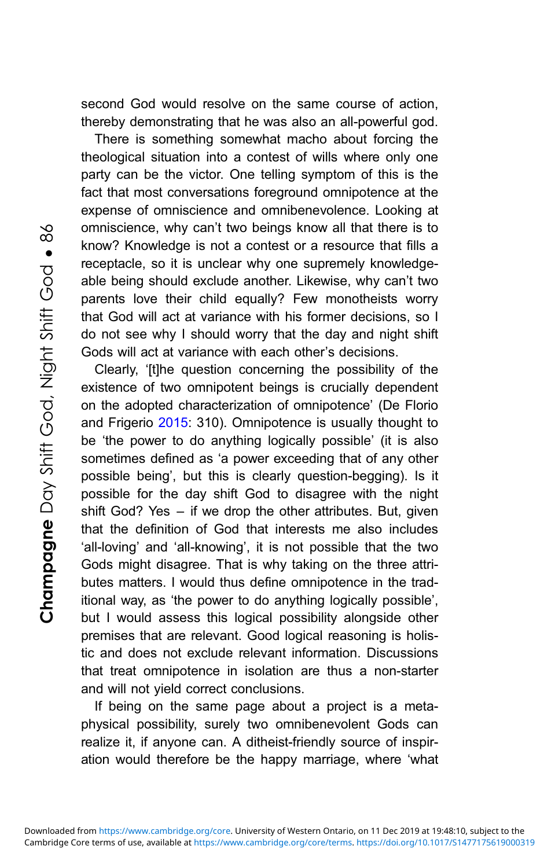second God would resolve on the same course of action, thereby demonstrating that he was also an all-powerful god.

There is something somewhat macho about forcing the theological situation into a contest of wills where only one party can be the victor. One telling symptom of this is the fact that most conversations foreground omnipotence at the expense of omniscience and omnibenevolence. Looking at omniscience, why can't two beings know all that there is to know? Knowledge is not a contest or a resource that fills a receptacle, so it is unclear why one supremely knowledgeable being should exclude another. Likewise, why can't two parents love their child equally? Few monotheists worry that God will act at variance with his former decisions, so I do not see why I should worry that the day and night shift Gods will act at variance with each other's decisions.

Clearly, '[t]he question concerning the possibility of the existence of two omnipotent beings is crucially dependent on the adopted characterization of omnipotence' (De Florio and Frigerio [2015:](#page-7-0) 310). Omnipotence is usually thought to be 'the power to do anything logically possible' (it is also sometimes defined as 'a power exceeding that of any other possible being', but this is clearly question-begging). Is it possible for the day shift God to disagree with the night shift God? Yes – if we drop the other attributes. But, given that the definition of God that interests me also includes 'all-loving' and 'all-knowing', it is not possible that the two Gods might disagree. That is why taking on the three attributes matters. I would thus define omnipotence in the traditional way, as 'the power to do anything logically possible', but I would assess this logical possibility alongside other premises that are relevant. Good logical reasoning is holistic and does not exclude relevant information. Discussions that treat omnipotence in isolation are thus a non-starter and will not yield correct conclusions.

If being on the same page about a project is a metaphysical possibility, surely two omnibenevolent Gods can realize it, if anyone can. A ditheist-friendly source of inspiration would therefore be the happy marriage, where 'what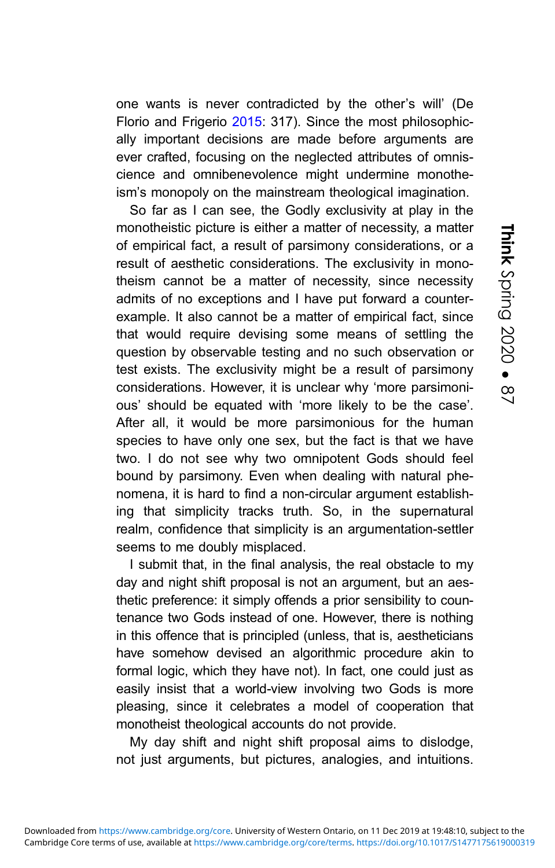one wants is never contradicted by the other's will' (De Florio and Frigerio [2015:](#page-7-0) 317). Since the most philosophically important decisions are made before arguments are ever crafted, focusing on the neglected attributes of omniscience and omnibenevolence might undermine monotheism's monopoly on the mainstream theological imagination.

So far as I can see, the Godly exclusivity at play in the monotheistic picture is either a matter of necessity, a matter of empirical fact, a result of parsimony considerations, or a result of aesthetic considerations. The exclusivity in monotheism cannot be a matter of necessity, since necessity admits of no exceptions and I have put forward a counterexample. It also cannot be a matter of empirical fact, since that would require devising some means of settling the question by observable testing and no such observation or test exists. The exclusivity might be a result of parsimony considerations. However, it is unclear why 'more parsimonious' should be equated with 'more likely to be the case'. After all, it would be more parsimonious for the human species to have only one sex, but the fact is that we have two. I do not see why two omnipotent Gods should feel bound by parsimony. Even when dealing with natural phenomena, it is hard to find a non-circular argument establishing that simplicity tracks truth. So, in the supernatural realm, confidence that simplicity is an argumentation-settler seems to me doubly misplaced.

I submit that, in the final analysis, the real obstacle to my day and night shift proposal is not an argument, but an aesthetic preference: it simply offends a prior sensibility to countenance two Gods instead of one. However, there is nothing in this offence that is principled (unless, that is, aestheticians have somehow devised an algorithmic procedure akin to formal logic, which they have not). In fact, one could just as easily insist that a world-view involving two Gods is more pleasing, since it celebrates a model of cooperation that monotheist theological accounts do not provide.

My day shift and night shift proposal aims to dislodge, not just arguments, but pictures, analogies, and intuitions.